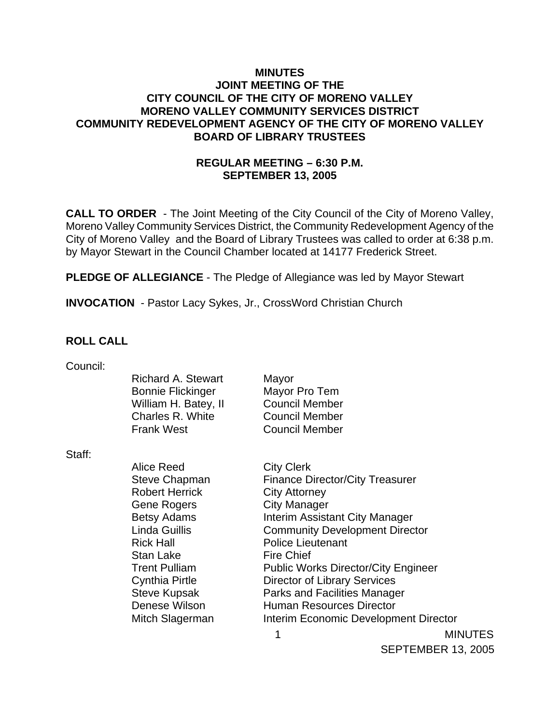## **MINUTES JOINT MEETING OF THE CITY COUNCIL OF THE CITY OF MORENO VALLEY MORENO VALLEY COMMUNITY SERVICES DISTRICT COMMUNITY REDEVELOPMENT AGENCY OF THE CITY OF MORENO VALLEY BOARD OF LIBRARY TRUSTEES**

## **REGULAR MEETING – 6:30 P.M. SEPTEMBER 13, 2005**

**CALL TO ORDER** - The Joint Meeting of the City Council of the City of Moreno Valley, Moreno Valley Community Services District, the Community Redevelopment Agency of the City of Moreno Valley and the Board of Library Trustees was called to order at 6:38 p.m. by Mayor Stewart in the Council Chamber located at 14177 Frederick Street.

**PLEDGE OF ALLEGIANCE** - The Pledge of Allegiance was led by Mayor Stewart

**INVOCATION** - Pastor Lacy Sykes, Jr., CrossWord Christian Church

## **ROLL CALL**

| Council: |  |
|----------|--|
|          |  |

| Mayor                 |
|-----------------------|
| Mayor Pro Tem         |
| <b>Council Member</b> |
| <b>Council Member</b> |
| <b>Council Member</b> |
|                       |

Staff:

Alice Reed City Clerk Robert Herrick City Attorney Gene Rogers City Manager Rick Hall Police Lieutenant Stan Lake Fire Chief Cynthia Pirtle Director of Library Services Denese Wilson Human Resources Director

Steve Chapman Finance Director/City Treasurer Betsy Adams **Interim Assistant City Manager** Linda Guillis Community Development Director Trent Pulliam Public Works Director/City Engineer Steve Kupsak **Parks and Facilities Manager** Mitch Slagerman Interim Economic Development Director

 1 MINUTES SEPTEMBER 13, 2005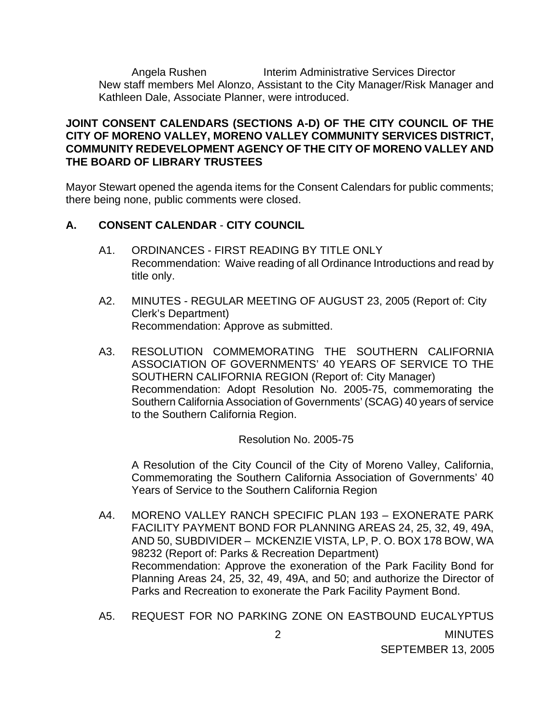Angela Rushen Interim Administrative Services Director New staff members Mel Alonzo, Assistant to the City Manager/Risk Manager and Kathleen Dale, Associate Planner, were introduced.

## **JOINT CONSENT CALENDARS (SECTIONS A-D) OF THE CITY COUNCIL OF THE CITY OF MORENO VALLEY, MORENO VALLEY COMMUNITY SERVICES DISTRICT, COMMUNITY REDEVELOPMENT AGENCY OF THE CITY OF MORENO VALLEY AND THE BOARD OF LIBRARY TRUSTEES**

Mayor Stewart opened the agenda items for the Consent Calendars for public comments; there being none, public comments were closed.

## **A. CONSENT CALENDAR** - **CITY COUNCIL**

- A1. ORDINANCES FIRST READING BY TITLE ONLY Recommendation: Waive reading of all Ordinance Introductions and read by title only.
- A2. MINUTES REGULAR MEETING OF AUGUST 23, 2005 (Report of: City Clerk's Department) Recommendation: Approve as submitted.
- A3. RESOLUTION COMMEMORATING THE SOUTHERN CALIFORNIA ASSOCIATION OF GOVERNMENTS' 40 YEARS OF SERVICE TO THE SOUTHERN CALIFORNIA REGION (Report of: City Manager) Recommendation: Adopt Resolution No. 2005-75, commemorating the Southern California Association of Governments' (SCAG) 40 years of service to the Southern California Region.

## Resolution No. 2005-75

 A Resolution of the City Council of the City of Moreno Valley, California, Commemorating the Southern California Association of Governments' 40 Years of Service to the Southern California Region

- A4. MORENO VALLEY RANCH SPECIFIC PLAN 193 EXONERATE PARK FACILITY PAYMENT BOND FOR PLANNING AREAS 24, 25, 32, 49, 49A, AND 50, SUBDIVIDER – MCKENZIE VISTA, LP, P. O. BOX 178 BOW, WA 98232 (Report of: Parks & Recreation Department) Recommendation: Approve the exoneration of the Park Facility Bond for Planning Areas 24, 25, 32, 49, 49A, and 50; and authorize the Director of Parks and Recreation to exonerate the Park Facility Payment Bond.
- 2 MINUTES SEPTEMBER 13, 2005 A5. REQUEST FOR NO PARKING ZONE ON EASTBOUND EUCALYPTUS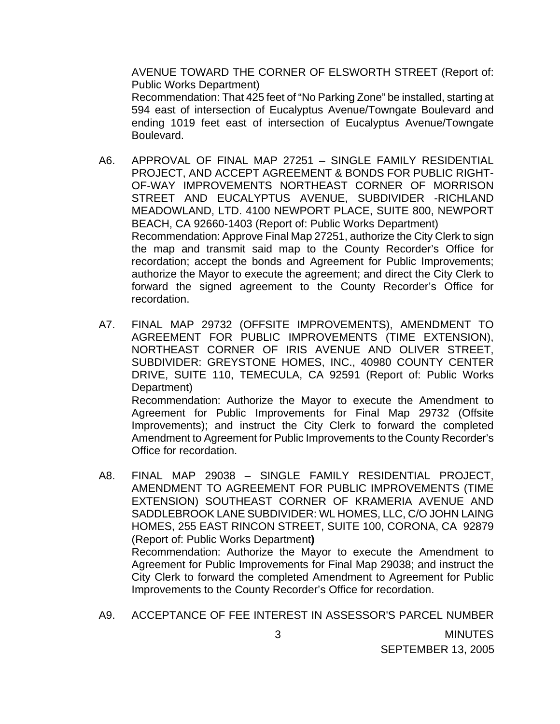AVENUE TOWARD THE CORNER OF ELSWORTH STREET (Report of: Public Works Department)

 Recommendation: That 425 feet of "No Parking Zone" be installed, starting at 594 east of intersection of Eucalyptus Avenue/Towngate Boulevard and ending 1019 feet east of intersection of Eucalyptus Avenue/Towngate Boulevard.

- A6. APPROVAL OF FINAL MAP 27251 SINGLE FAMILY RESIDENTIAL PROJECT, AND ACCEPT AGREEMENT & BONDS FOR PUBLIC RIGHT-OF-WAY IMPROVEMENTS NORTHEAST CORNER OF MORRISON STREET AND EUCALYPTUS AVENUE, SUBDIVIDER -RICHLAND MEADOWLAND, LTD. 4100 NEWPORT PLACE, SUITE 800, NEWPORT BEACH, CA 92660-1403 (Report of: Public Works Department) Recommendation: Approve Final Map 27251, authorize the City Clerk to sign the map and transmit said map to the County Recorder's Office for recordation; accept the bonds and Agreement for Public Improvements; authorize the Mayor to execute the agreement; and direct the City Clerk to forward the signed agreement to the County Recorder's Office for recordation.
- A7. FINAL MAP 29732 (OFFSITE IMPROVEMENTS), AMENDMENT TO AGREEMENT FOR PUBLIC IMPROVEMENTS (TIME EXTENSION), NORTHEAST CORNER OF IRIS AVENUE AND OLIVER STREET, SUBDIVIDER: GREYSTONE HOMES, INC., 40980 COUNTY CENTER DRIVE, SUITE 110, TEMECULA, CA 92591 (Report of: Public Works Department) Recommendation: Authorize the Mayor to execute the Amendment to Agreement for Public Improvements for Final Map 29732 (Offsite Improvements); and instruct the City Clerk to forward the completed Amendment to Agreement for Public Improvements to the County Recorder's Office for recordation.
- A8. FINAL MAP 29038 SINGLE FAMILY RESIDENTIAL PROJECT, AMENDMENT TO AGREEMENT FOR PUBLIC IMPROVEMENTS (TIME EXTENSION) SOUTHEAST CORNER OF KRAMERIA AVENUE AND SADDLEBROOK LANE SUBDIVIDER: WL HOMES, LLC, C/O JOHN LAING HOMES, 255 EAST RINCON STREET, SUITE 100, CORONA, CA 92879 (Report of: Public Works Department**)** Recommendation: Authorize the Mayor to execute the Amendment to Agreement for Public Improvements for Final Map 29038; and instruct the City Clerk to forward the completed Amendment to Agreement for Public Improvements to the County Recorder's Office for recordation.
- A9. ACCEPTANCE OF FEE INTEREST IN ASSESSOR'S PARCEL NUMBER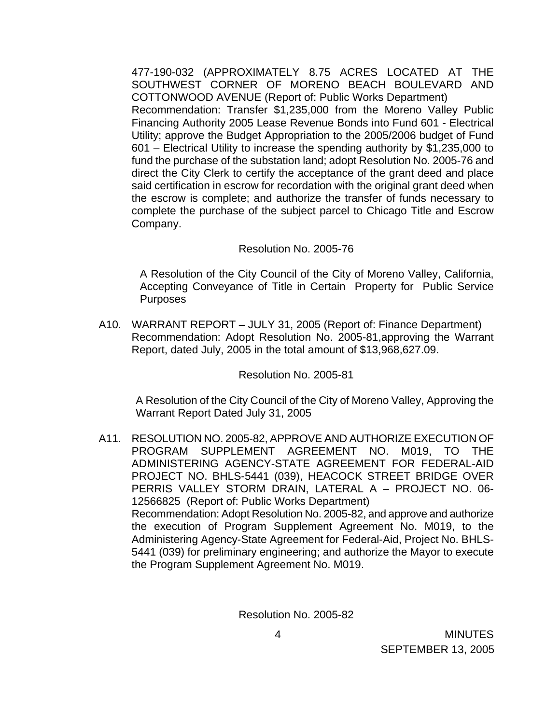477-190-032 (APPROXIMATELY 8.75 ACRES LOCATED AT THE SOUTHWEST CORNER OF MORENO BEACH BOULEVARD AND COTTONWOOD AVENUE (Report of: Public Works Department) Recommendation: Transfer \$1,235,000 from the Moreno Valley Public Financing Authority 2005 Lease Revenue Bonds into Fund 601 - Electrical Utility; approve the Budget Appropriation to the 2005/2006 budget of Fund 601 – Electrical Utility to increase the spending authority by \$1,235,000 to fund the purchase of the substation land; adopt Resolution No. 2005-76 and direct the City Clerk to certify the acceptance of the grant deed and place said certification in escrow for recordation with the original grant deed when the escrow is complete; and authorize the transfer of funds necessary to complete the purchase of the subject parcel to Chicago Title and Escrow Company.

#### Resolution No. 2005-76

 A Resolution of the City Council of the City of Moreno Valley, California, Accepting Conveyance of Title in Certain Property for Public Service **Purposes** 

A10. WARRANT REPORT – JULY 31, 2005 (Report of: Finance Department) Recommendation: Adopt Resolution No. 2005-81,approving the Warrant Report, dated July, 2005 in the total amount of \$13,968,627.09.

Resolution No. 2005-81

 A Resolution of the City Council of the City of Moreno Valley, Approving the Warrant Report Dated July 31, 2005

A11. RESOLUTION NO. 2005-82, APPROVE AND AUTHORIZE EXECUTION OF PROGRAM SUPPLEMENT AGREEMENT NO. M019, TO THE ADMINISTERING AGENCY-STATE AGREEMENT FOR FEDERAL-AID PROJECT NO. BHLS-5441 (039), HEACOCK STREET BRIDGE OVER PERRIS VALLEY STORM DRAIN, LATERAL A – PROJECT NO. 06- 12566825 (Report of: Public Works Department) Recommendation: Adopt Resolution No. 2005-82, and approve and authorize the execution of Program Supplement Agreement No. M019, to the Administering Agency-State Agreement for Federal-Aid, Project No. BHLS-5441 (039) for preliminary engineering; and authorize the Mayor to execute the Program Supplement Agreement No. M019.

Resolution No. 2005-82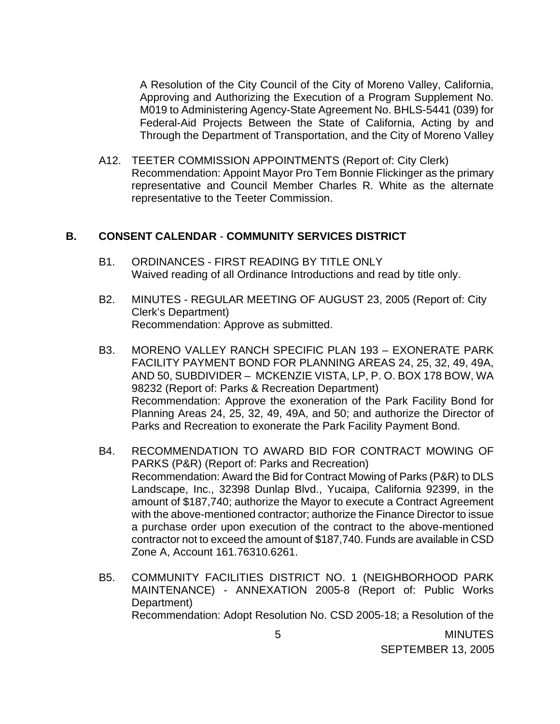A Resolution of the City Council of the City of Moreno Valley, California, Approving and Authorizing the Execution of a Program Supplement No. M019 to Administering Agency-State Agreement No. BHLS-5441 (039) for Federal-Aid Projects Between the State of California, Acting by and Through the Department of Transportation, and the City of Moreno Valley

A12. TEETER COMMISSION APPOINTMENTS (Report of: City Clerk) Recommendation: Appoint Mayor Pro Tem Bonnie Flickinger as the primary representative and Council Member Charles R. White as the alternate representative to the Teeter Commission.

#### **B. CONSENT CALENDAR** - **COMMUNITY SERVICES DISTRICT**

- B1. ORDINANCES FIRST READING BY TITLE ONLY Waived reading of all Ordinance Introductions and read by title only.
- B2. MINUTES REGULAR MEETING OF AUGUST 23, 2005 (Report of: City Clerk's Department) Recommendation: Approve as submitted.
- B3. MORENO VALLEY RANCH SPECIFIC PLAN 193 EXONERATE PARK FACILITY PAYMENT BOND FOR PLANNING AREAS 24, 25, 32, 49, 49A, AND 50, SUBDIVIDER – MCKENZIE VISTA, LP, P. O. BOX 178 BOW, WA 98232 (Report of: Parks & Recreation Department) Recommendation: Approve the exoneration of the Park Facility Bond for Planning Areas 24, 25, 32, 49, 49A, and 50; and authorize the Director of Parks and Recreation to exonerate the Park Facility Payment Bond.
- B4. RECOMMENDATION TO AWARD BID FOR CONTRACT MOWING OF PARKS (P&R) (Report of: Parks and Recreation) Recommendation: Award the Bid for Contract Mowing of Parks (P&R) to DLS Landscape, Inc., 32398 Dunlap Blvd., Yucaipa, California 92399, in the amount of \$187,740; authorize the Mayor to execute a Contract Agreement with the above-mentioned contractor; authorize the Finance Director to issue a purchase order upon execution of the contract to the above-mentioned contractor not to exceed the amount of \$187,740. Funds are available in CSD Zone A, Account 161.76310.6261.
- B5. COMMUNITY FACILITIES DISTRICT NO. 1 (NEIGHBORHOOD PARK MAINTENANCE) - ANNEXATION 2005-8 (Report of: Public Works Department) Recommendation: Adopt Resolution No. CSD 2005-18; a Resolution of the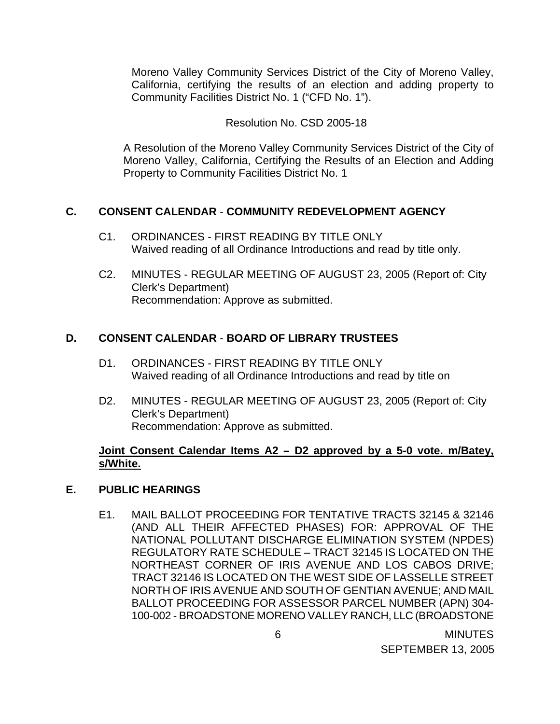Moreno Valley Community Services District of the City of Moreno Valley, California, certifying the results of an election and adding property to Community Facilities District No. 1 ("CFD No. 1").

## Resolution No. CSD 2005-18

 A Resolution of the Moreno Valley Community Services District of the City of Moreno Valley, California, Certifying the Results of an Election and Adding Property to Community Facilities District No. 1

# **C. CONSENT CALENDAR** - **COMMUNITY REDEVELOPMENT AGENCY**

- C1. ORDINANCES FIRST READING BY TITLE ONLY Waived reading of all Ordinance Introductions and read by title only.
- C2. MINUTES REGULAR MEETING OF AUGUST 23, 2005 (Report of: City Clerk's Department) Recommendation: Approve as submitted.

# **D. CONSENT CALENDAR** - **BOARD OF LIBRARY TRUSTEES**

- D1. ORDINANCES FIRST READING BY TITLE ONLY Waived reading of all Ordinance Introductions and read by title on
- D2. MINUTES REGULAR MEETING OF AUGUST 23, 2005 (Report of: City Clerk's Department) Recommendation: Approve as submitted.

## **Joint Consent Calendar Items A2 – D2 approved by a 5-0 vote. m/Batey, s/White.**

# **E. PUBLIC HEARINGS**

E1. MAIL BALLOT PROCEEDING FOR TENTATIVE TRACTS 32145 & 32146 (AND ALL THEIR AFFECTED PHASES) FOR: APPROVAL OF THE NATIONAL POLLUTANT DISCHARGE ELIMINATION SYSTEM (NPDES) REGULATORY RATE SCHEDULE – TRACT 32145 IS LOCATED ON THE NORTHEAST CORNER OF IRIS AVENUE AND LOS CABOS DRIVE; TRACT 32146 IS LOCATED ON THE WEST SIDE OF LASSELLE STREET NORTH OF IRIS AVENUE AND SOUTH OF GENTIAN AVENUE; AND MAIL BALLOT PROCEEDING FOR ASSESSOR PARCEL NUMBER (APN) 304- 100-002 - BROADSTONE MORENO VALLEY RANCH, LLC (BROADSTONE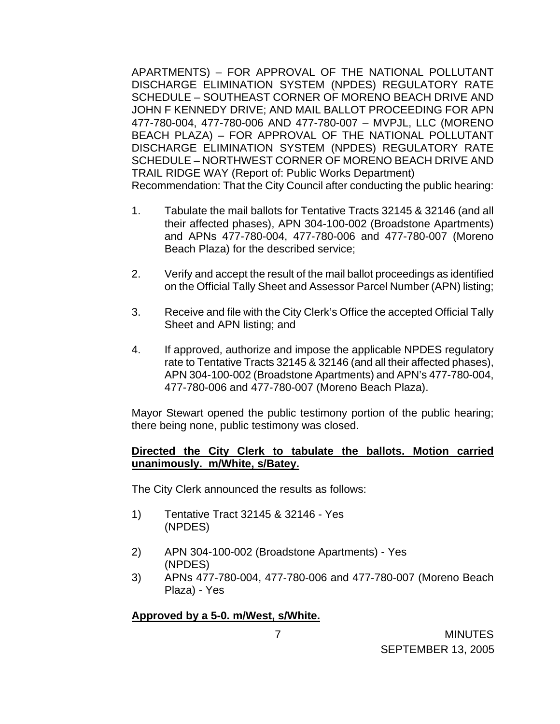APARTMENTS) – FOR APPROVAL OF THE NATIONAL POLLUTANT DISCHARGE ELIMINATION SYSTEM (NPDES) REGULATORY RATE SCHEDULE – SOUTHEAST CORNER OF MORENO BEACH DRIVE AND JOHN F KENNEDY DRIVE; AND MAIL BALLOT PROCEEDING FOR APN 477-780-004, 477-780-006 AND 477-780-007 – MVPJL, LLC (MORENO BEACH PLAZA) – FOR APPROVAL OF THE NATIONAL POLLUTANT DISCHARGE ELIMINATION SYSTEM (NPDES) REGULATORY RATE SCHEDULE – NORTHWEST CORNER OF MORENO BEACH DRIVE AND TRAIL RIDGE WAY (Report of: Public Works Department) Recommendation: That the City Council after conducting the public hearing:

- 1. Tabulate the mail ballots for Tentative Tracts 32145 & 32146 (and all their affected phases), APN 304-100-002 (Broadstone Apartments) and APNs 477-780-004, 477-780-006 and 477-780-007 (Moreno Beach Plaza) for the described service;
- 2. Verify and accept the result of the mail ballot proceedings as identified on the Official Tally Sheet and Assessor Parcel Number (APN) listing;
- 3. Receive and file with the City Clerk's Office the accepted Official Tally Sheet and APN listing; and
- 4. If approved, authorize and impose the applicable NPDES regulatory rate to Tentative Tracts 32145 & 32146 (and all their affected phases), APN 304-100-002 (Broadstone Apartments) and APN's 477-780-004, 477-780-006 and 477-780-007 (Moreno Beach Plaza).

 Mayor Stewart opened the public testimony portion of the public hearing; there being none, public testimony was closed.

## **Directed the City Clerk to tabulate the ballots. Motion carried unanimously. m/White, s/Batey.**

The City Clerk announced the results as follows:

- 1) Tentative Tract 32145 & 32146 Yes (NPDES)
- 2) APN 304-100-002 (Broadstone Apartments) Yes (NPDES)
- 3) APNs 477-780-004, 477-780-006 and 477-780-007 (Moreno Beach Plaza) - Yes

## **Approved by a 5-0. m/West, s/White.**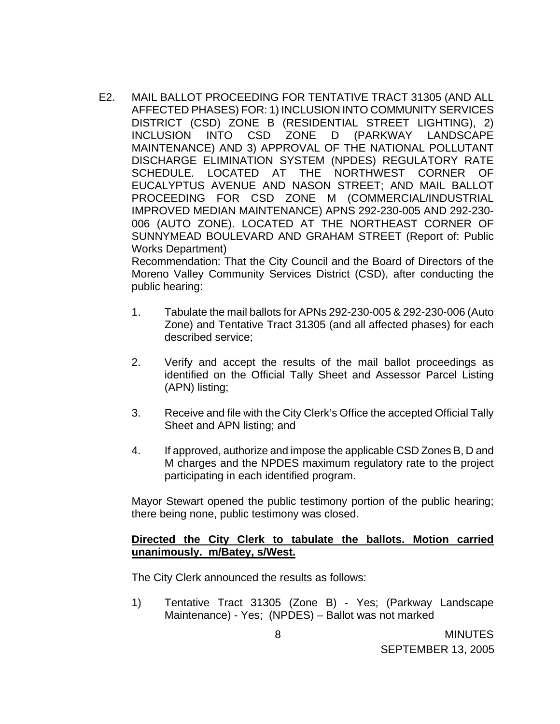E2. MAIL BALLOT PROCEEDING FOR TENTATIVE TRACT 31305 (AND ALL AFFECTED PHASES) FOR: 1) INCLUSION INTO COMMUNITY SERVICES DISTRICT (CSD) ZONE B (RESIDENTIAL STREET LIGHTING), 2) INCLUSION INTO CSD ZONE D (PARKWAY LANDSCAPE MAINTENANCE) AND 3) APPROVAL OF THE NATIONAL POLLUTANT DISCHARGE ELIMINATION SYSTEM (NPDES) REGULATORY RATE SCHEDULE. LOCATED AT THE NORTHWEST CORNER OF EUCALYPTUS AVENUE AND NASON STREET; AND MAIL BALLOT PROCEEDING FOR CSD ZONE M (COMMERCIAL/INDUSTRIAL IMPROVED MEDIAN MAINTENANCE) APNS 292-230-005 AND 292-230- 006 (AUTO ZONE). LOCATED AT THE NORTHEAST CORNER OF SUNNYMEAD BOULEVARD AND GRAHAM STREET (Report of: Public Works Department)

 Recommendation: That the City Council and the Board of Directors of the Moreno Valley Community Services District (CSD), after conducting the public hearing:

- 1. Tabulate the mail ballots for APNs 292-230-005 & 292-230-006 (Auto Zone) and Tentative Tract 31305 (and all affected phases) for each described service;
- 2. Verify and accept the results of the mail ballot proceedings as identified on the Official Tally Sheet and Assessor Parcel Listing (APN) listing;
- 3. Receive and file with the City Clerk's Office the accepted Official Tally Sheet and APN listing; and
- 4. If approved, authorize and impose the applicable CSD Zones B, D and M charges and the NPDES maximum regulatory rate to the project participating in each identified program.

 Mayor Stewart opened the public testimony portion of the public hearing; there being none, public testimony was closed.

## **Directed the City Clerk to tabulate the ballots. Motion carried unanimously. m/Batey, s/West.**

The City Clerk announced the results as follows:

 1) Tentative Tract 31305 (Zone B) - Yes; (Parkway Landscape Maintenance) - Yes; (NPDES) – Ballot was not marked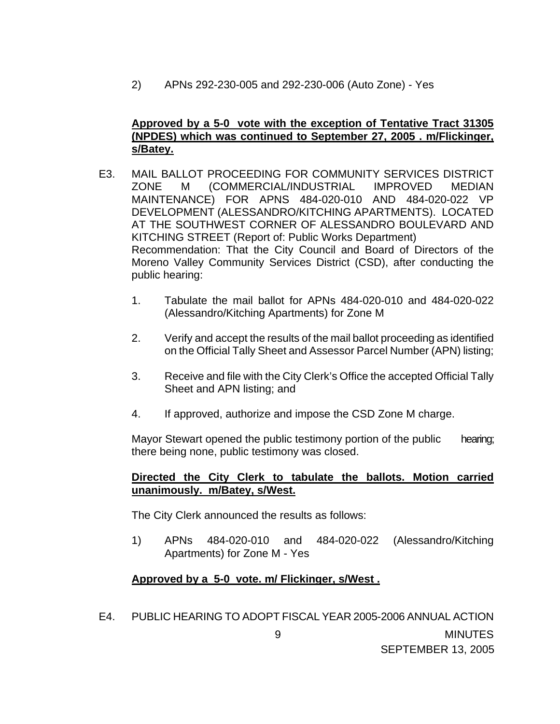2) APNs 292-230-005 and 292-230-006 (Auto Zone) - Yes

## **Approved by a 5-0 vote with the exception of Tentative Tract 31305 (NPDES) which was continued to September 27, 2005 . m/Flickinger, s/Batey.**

- E3. MAIL BALLOT PROCEEDING FOR COMMUNITY SERVICES DISTRICT ZONE M (COMMERCIAL/INDUSTRIAL IMPROVED MEDIAN MAINTENANCE) FOR APNS 484-020-010 AND 484-020-022 VP DEVELOPMENT (ALESSANDRO/KITCHING APARTMENTS). LOCATED AT THE SOUTHWEST CORNER OF ALESSANDRO BOULEVARD AND KITCHING STREET (Report of: Public Works Department) Recommendation: That the City Council and Board of Directors of the Moreno Valley Community Services District (CSD), after conducting the public hearing:
	- 1. Tabulate the mail ballot for APNs 484-020-010 and 484-020-022 (Alessandro/Kitching Apartments) for Zone M
	- 2. Verify and accept the results of the mail ballot proceeding as identified on the Official Tally Sheet and Assessor Parcel Number (APN) listing;
	- 3. Receive and file with the City Clerk's Office the accepted Official Tally Sheet and APN listing; and
	- 4. If approved, authorize and impose the CSD Zone M charge.

 Mayor Stewart opened the public testimony portion of the public hearing; there being none, public testimony was closed.

## **Directed the City Clerk to tabulate the ballots. Motion carried unanimously. m/Batey, s/West.**

The City Clerk announced the results as follows:

1) APNs 484-020-010 and 484-020-022 (Alessandro/Kitching Apartments) for Zone M - Yes

# **Approved by a 5-0 vote. m/ Flickinger, s/West .**

 9 MINUTES SEPTEMBER 13, 2005 E4. PUBLIC HEARING TO ADOPT FISCAL YEAR 2005-2006 ANNUAL ACTION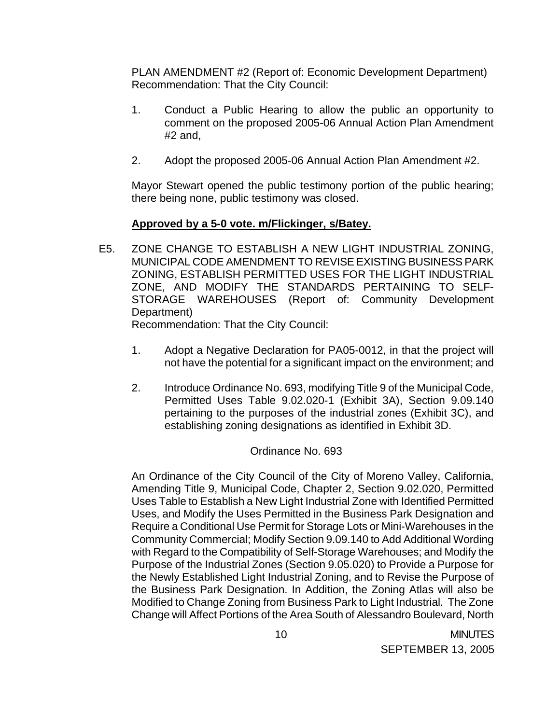PLAN AMENDMENT #2 (Report of: Economic Development Department) Recommendation: That the City Council:

- 1. Conduct a Public Hearing to allow the public an opportunity to comment on the proposed 2005-06 Annual Action Plan Amendment #2 and,
- 2. Adopt the proposed 2005-06 Annual Action Plan Amendment #2.

 Mayor Stewart opened the public testimony portion of the public hearing; there being none, public testimony was closed.

# **Approved by a 5-0 vote. m/Flickinger, s/Batey.**

E5. ZONE CHANGE TO ESTABLISH A NEW LIGHT INDUSTRIAL ZONING, MUNICIPAL CODE AMENDMENT TO REVISE EXISTING BUSINESS PARK ZONING, ESTABLISH PERMITTED USES FOR THE LIGHT INDUSTRIAL ZONE, AND MODIFY THE STANDARDS PERTAINING TO SELF-STORAGE WAREHOUSES (Report of: Community Development Department)

Recommendation: That the City Council:

- 1. Adopt a Negative Declaration for PA05-0012, in that the project will not have the potential for a significant impact on the environment; and
- 2. Introduce Ordinance No. 693, modifying Title 9 of the Municipal Code, Permitted Uses Table 9.02.020-1 (Exhibit 3A), Section 9.09.140 pertaining to the purposes of the industrial zones (Exhibit 3C), and establishing zoning designations as identified in Exhibit 3D.

# Ordinance No. 693

An Ordinance of the City Council of the City of Moreno Valley, California, Amending Title 9, Municipal Code, Chapter 2, Section 9.02.020, Permitted Uses Table to Establish a New Light Industrial Zone with Identified Permitted Uses, and Modify the Uses Permitted in the Business Park Designation and Require a Conditional Use Permit for Storage Lots or Mini-Warehouses in the Community Commercial; Modify Section 9.09.140 to Add Additional Wording with Regard to the Compatibility of Self-Storage Warehouses; and Modify the Purpose of the Industrial Zones (Section 9.05.020) to Provide a Purpose for the Newly Established Light Industrial Zoning, and to Revise the Purpose of the Business Park Designation. In Addition, the Zoning Atlas will also be Modified to Change Zoning from Business Park to Light Industrial. The Zone Change will Affect Portions of the Area South of Alessandro Boulevard, North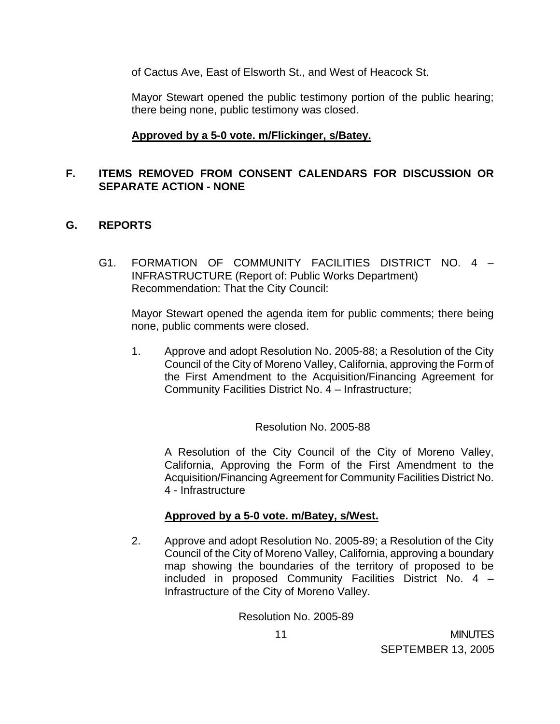of Cactus Ave, East of Elsworth St., and West of Heacock St.

 Mayor Stewart opened the public testimony portion of the public hearing; there being none, public testimony was closed.

## **Approved by a 5-0 vote. m/Flickinger, s/Batey.**

## **F. ITEMS REMOVED FROM CONSENT CALENDARS FOR DISCUSSION OR SEPARATE ACTION - NONE**

## **G. REPORTS**

G1. FORMATION OF COMMUNITY FACILITIES DISTRICT NO. 4 – INFRASTRUCTURE (Report of: Public Works Department) Recommendation: That the City Council:

 Mayor Stewart opened the agenda item for public comments; there being none, public comments were closed.

1. Approve and adopt Resolution No. 2005-88; a Resolution of the City Council of the City of Moreno Valley, California, approving the Form of the First Amendment to the Acquisition/Financing Agreement for Community Facilities District No. 4 – Infrastructure;

Resolution No. 2005-88

 A Resolution of the City Council of the City of Moreno Valley, California, Approving the Form of the First Amendment to the Acquisition/Financing Agreement for Community Facilities District No. 4 - Infrastructure

## **Approved by a 5-0 vote. m/Batey, s/West.**

2. Approve and adopt Resolution No. 2005-89; a Resolution of the City Council of the City of Moreno Valley, California, approving a boundary map showing the boundaries of the territory of proposed to be included in proposed Community Facilities District No. 4 – Infrastructure of the City of Moreno Valley.

Resolution No. 2005-89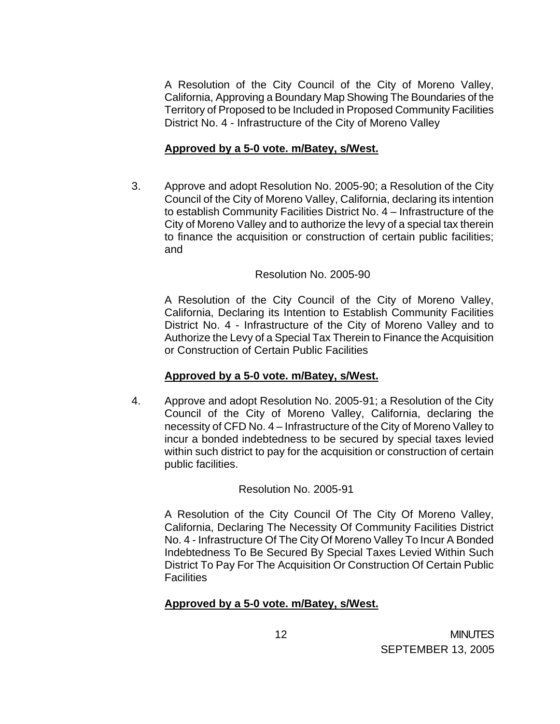A Resolution of the City Council of the City of Moreno Valley, California, Approving a Boundary Map Showing The Boundaries of the Territory of Proposed to be Included in Proposed Community Facilities District No. 4 - Infrastructure of the City of Moreno Valley

## **Approved by a 5-0 vote. m/Batey, s/West.**

3. Approve and adopt Resolution No. 2005-90; a Resolution of the City Council of the City of Moreno Valley, California, declaring its intention to establish Community Facilities District No. 4 – Infrastructure of the City of Moreno Valley and to authorize the levy of a special tax therein to finance the acquisition or construction of certain public facilities; and

## Resolution No. 2005-90

 A Resolution of the City Council of the City of Moreno Valley, California, Declaring its Intention to Establish Community Facilities District No. 4 - Infrastructure of the City of Moreno Valley and to Authorize the Levy of a Special Tax Therein to Finance the Acquisition or Construction of Certain Public Facilities

## **Approved by a 5-0 vote. m/Batey, s/West.**

4. Approve and adopt Resolution No. 2005-91; a Resolution of the City Council of the City of Moreno Valley, California, declaring the necessity of CFD No. 4 – Infrastructure of the City of Moreno Valley to incur a bonded indebtedness to be secured by special taxes levied within such district to pay for the acquisition or construction of certain public facilities.

## Resolution No. 2005-91

 A Resolution of the City Council Of The City Of Moreno Valley, California, Declaring The Necessity Of Community Facilities District No. 4 - Infrastructure Of The City Of Moreno Valley To Incur A Bonded Indebtedness To Be Secured By Special Taxes Levied Within Such District To Pay For The Acquisition Or Construction Of Certain Public Facilities

## **Approved by a 5-0 vote. m/Batey, s/West.**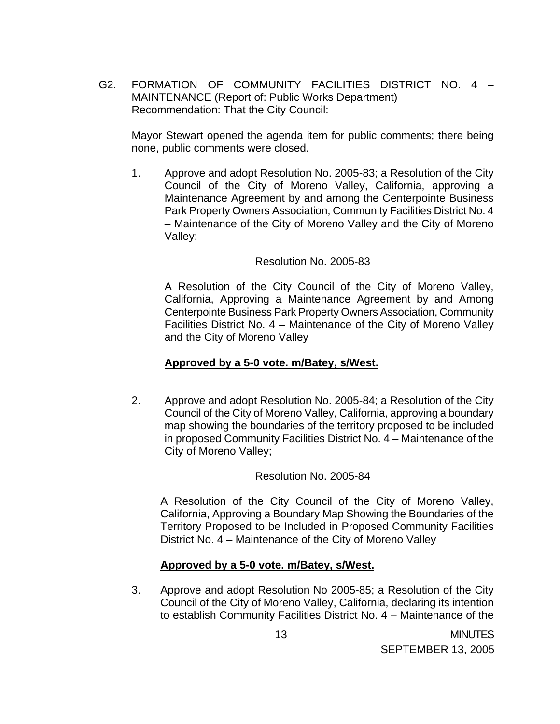G2. FORMATION OF COMMUNITY FACILITIES DISTRICT NO. 4 – MAINTENANCE (Report of: Public Works Department) Recommendation: That the City Council:

 Mayor Stewart opened the agenda item for public comments; there being none, public comments were closed.

1. Approve and adopt Resolution No. 2005-83; a Resolution of the City Council of the City of Moreno Valley, California, approving a Maintenance Agreement by and among the Centerpointe Business Park Property Owners Association, Community Facilities District No. 4 – Maintenance of the City of Moreno Valley and the City of Moreno Valley;

#### Resolution No. 2005-83

 A Resolution of the City Council of the City of Moreno Valley, California, Approving a Maintenance Agreement by and Among Centerpointe Business Park Property Owners Association, Community Facilities District No. 4 – Maintenance of the City of Moreno Valley and the City of Moreno Valley

#### **Approved by a 5-0 vote. m/Batey, s/West.**

2. Approve and adopt Resolution No. 2005-84; a Resolution of the City Council of the City of Moreno Valley, California, approving a boundary map showing the boundaries of the territory proposed to be included in proposed Community Facilities District No. 4 – Maintenance of the City of Moreno Valley;

## Resolution No. 2005-84

 A Resolution of the City Council of the City of Moreno Valley, California, Approving a Boundary Map Showing the Boundaries of the Territory Proposed to be Included in Proposed Community Facilities District No. 4 – Maintenance of the City of Moreno Valley

## **Approved by a 5-0 vote. m/Batey, s/West.**

3. Approve and adopt Resolution No 2005-85; a Resolution of the City Council of the City of Moreno Valley, California, declaring its intention to establish Community Facilities District No. 4 – Maintenance of the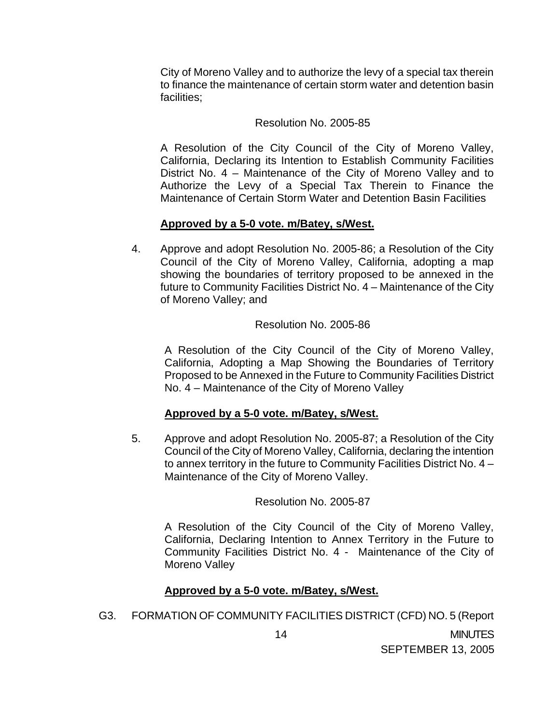City of Moreno Valley and to authorize the levy of a special tax therein to finance the maintenance of certain storm water and detention basin facilities;

#### Resolution No. 2005-85

 A Resolution of the City Council of the City of Moreno Valley, California, Declaring its Intention to Establish Community Facilities District No. 4 – Maintenance of the City of Moreno Valley and to Authorize the Levy of a Special Tax Therein to Finance the Maintenance of Certain Storm Water and Detention Basin Facilities

## **Approved by a 5-0 vote. m/Batey, s/West.**

4. Approve and adopt Resolution No. 2005-86; a Resolution of the City Council of the City of Moreno Valley, California, adopting a map showing the boundaries of territory proposed to be annexed in the future to Community Facilities District No. 4 – Maintenance of the City of Moreno Valley; and

#### Resolution No. 2005-86

 A Resolution of the City Council of the City of Moreno Valley, California, Adopting a Map Showing the Boundaries of Territory Proposed to be Annexed in the Future to Community Facilities District No. 4 – Maintenance of the City of Moreno Valley

## **Approved by a 5-0 vote. m/Batey, s/West.**

5. Approve and adopt Resolution No. 2005-87; a Resolution of the City Council of the City of Moreno Valley, California, declaring the intention to annex territory in the future to Community Facilities District No. 4 – Maintenance of the City of Moreno Valley.

Resolution No. 2005-87

 A Resolution of the City Council of the City of Moreno Valley, California, Declaring Intention to Annex Territory in the Future to Community Facilities District No. 4 - Maintenance of the City of Moreno Valley

## **Approved by a 5-0 vote. m/Batey, s/West.**

G3. FORMATION OF COMMUNITY FACILITIES DISTRICT (CFD) NO. 5 (Report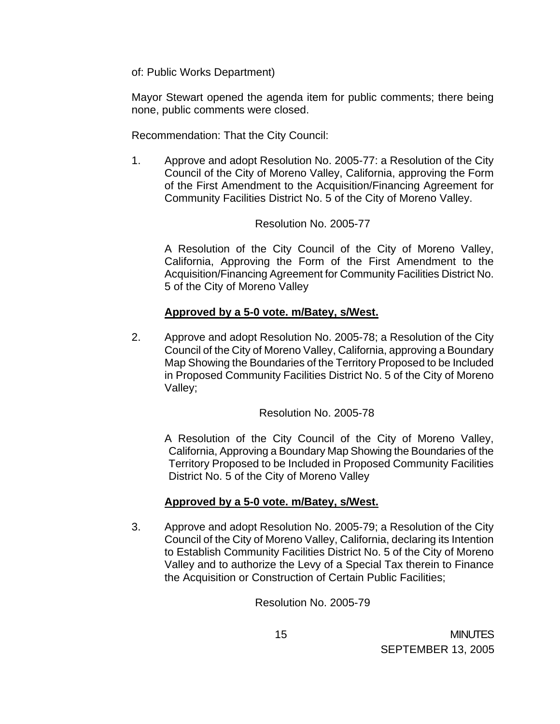of: Public Works Department)

 Mayor Stewart opened the agenda item for public comments; there being none, public comments were closed.

Recommendation: That the City Council:

1. Approve and adopt Resolution No. 2005-77: a Resolution of the City Council of the City of Moreno Valley, California, approving the Form of the First Amendment to the Acquisition/Financing Agreement for Community Facilities District No. 5 of the City of Moreno Valley.

## Resolution No. 2005-77

 A Resolution of the City Council of the City of Moreno Valley, California, Approving the Form of the First Amendment to the Acquisition/Financing Agreement for Community Facilities District No. 5 of the City of Moreno Valley

## **Approved by a 5-0 vote. m/Batey, s/West.**

2. Approve and adopt Resolution No. 2005-78; a Resolution of the City Council of the City of Moreno Valley, California, approving a Boundary Map Showing the Boundaries of the Territory Proposed to be Included in Proposed Community Facilities District No. 5 of the City of Moreno Valley;

Resolution No. 2005-78

 A Resolution of the City Council of the City of Moreno Valley, California, Approving a Boundary Map Showing the Boundaries of the Territory Proposed to be Included in Proposed Community Facilities District No. 5 of the City of Moreno Valley

# **Approved by a 5-0 vote. m/Batey, s/West.**

3. Approve and adopt Resolution No. 2005-79; a Resolution of the City Council of the City of Moreno Valley, California, declaring its Intention to Establish Community Facilities District No. 5 of the City of Moreno Valley and to authorize the Levy of a Special Tax therein to Finance the Acquisition or Construction of Certain Public Facilities;

Resolution No. 2005-79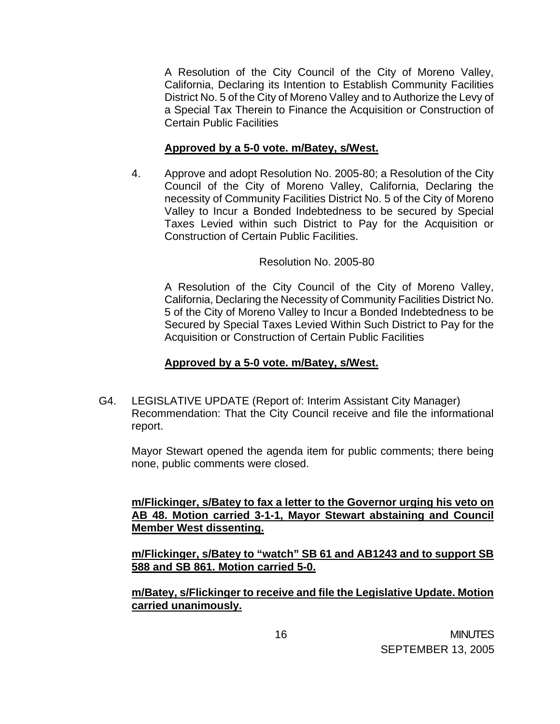A Resolution of the City Council of the City of Moreno Valley, California, Declaring its Intention to Establish Community Facilities District No. 5 of the City of Moreno Valley and to Authorize the Levy of a Special Tax Therein to Finance the Acquisition or Construction of Certain Public Facilities

## **Approved by a 5-0 vote. m/Batey, s/West.**

4. Approve and adopt Resolution No. 2005-80; a Resolution of the City Council of the City of Moreno Valley, California, Declaring the necessity of Community Facilities District No. 5 of the City of Moreno Valley to Incur a Bonded Indebtedness to be secured by Special Taxes Levied within such District to Pay for the Acquisition or Construction of Certain Public Facilities.

## Resolution No. 2005-80

 A Resolution of the City Council of the City of Moreno Valley, California, Declaring the Necessity of Community Facilities District No. 5 of the City of Moreno Valley to Incur a Bonded Indebtedness to be Secured by Special Taxes Levied Within Such District to Pay for the Acquisition or Construction of Certain Public Facilities

## **Approved by a 5-0 vote. m/Batey, s/West.**

G4. LEGISLATIVE UPDATE (Report of: Interim Assistant City Manager) Recommendation: That the City Council receive and file the informational report.

 Mayor Stewart opened the agenda item for public comments; there being none, public comments were closed.

 **m/Flickinger, s/Batey to fax a letter to the Governor urging his veto on AB 48. Motion carried 3-1-1, Mayor Stewart abstaining and Council Member West dissenting.**

 **m/Flickinger, s/Batey to "watch" SB 61 and AB1243 and to support SB 588 and SB 861. Motion carried 5-0.** 

 **m/Batey, s/Flickinger to receive and file the Legislative Update. Motion carried unanimously.**

 16 MINUTES SEPTEMBER 13, 2005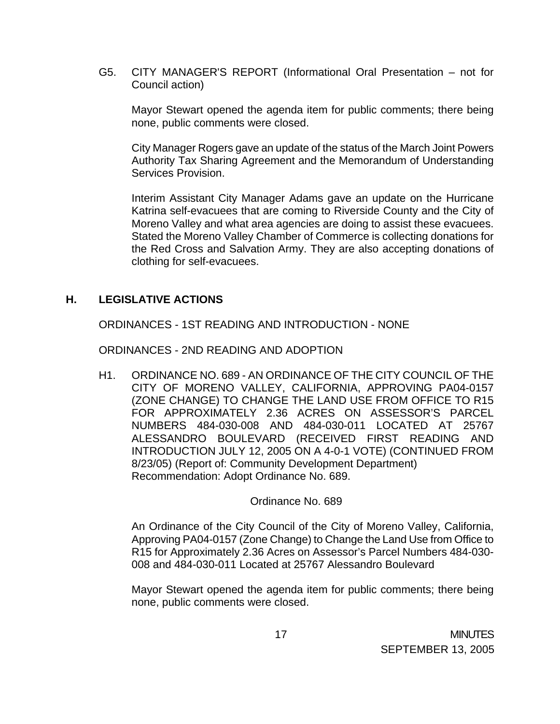G5. CITY MANAGER'S REPORT (Informational Oral Presentation – not for Council action)

 Mayor Stewart opened the agenda item for public comments; there being none, public comments were closed.

 City Manager Rogers gave an update of the status of the March Joint Powers Authority Tax Sharing Agreement and the Memorandum of Understanding Services Provision.

 Interim Assistant City Manager Adams gave an update on the Hurricane Katrina self-evacuees that are coming to Riverside County and the City of Moreno Valley and what area agencies are doing to assist these evacuees. Stated the Moreno Valley Chamber of Commerce is collecting donations for the Red Cross and Salvation Army. They are also accepting donations of clothing for self-evacuees.

## **H. LEGISLATIVE ACTIONS**

ORDINANCES - 1ST READING AND INTRODUCTION - NONE

ORDINANCES - 2ND READING AND ADOPTION

 H1. ORDINANCE NO. 689 - AN ORDINANCE OF THE CITY COUNCIL OF THE CITY OF MORENO VALLEY, CALIFORNIA, APPROVING PA04-0157 (ZONE CHANGE) TO CHANGE THE LAND USE FROM OFFICE TO R15 FOR APPROXIMATELY 2.36 ACRES ON ASSESSOR'S PARCEL NUMBERS 484-030-008 AND 484-030-011 LOCATED AT 25767 ALESSANDRO BOULEVARD (RECEIVED FIRST READING AND INTRODUCTION JULY 12, 2005 ON A 4-0-1 VOTE) (CONTINUED FROM 8/23/05) (Report of: Community Development Department) Recommendation: Adopt Ordinance No. 689.

Ordinance No. 689

 An Ordinance of the City Council of the City of Moreno Valley, California, Approving PA04-0157 (Zone Change) to Change the Land Use from Office to R15 for Approximately 2.36 Acres on Assessor's Parcel Numbers 484-030- 008 and 484-030-011 Located at 25767 Alessandro Boulevard

 Mayor Stewart opened the agenda item for public comments; there being none, public comments were closed.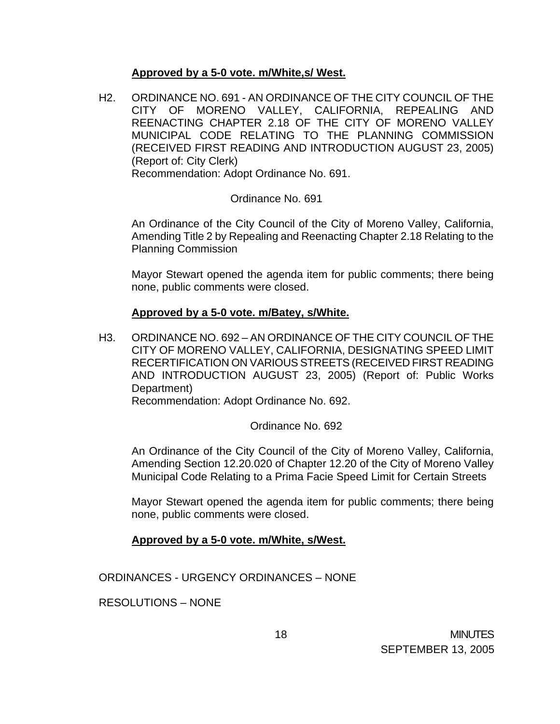## **Approved by a 5-0 vote. m/White,s/ West.**

H2. ORDINANCE NO. 691 - AN ORDINANCE OF THE CITY COUNCIL OF THE CITY OF MORENO VALLEY, CALIFORNIA, REPEALING AND REENACTING CHAPTER 2.18 OF THE CITY OF MORENO VALLEY MUNICIPAL CODE RELATING TO THE PLANNING COMMISSION (RECEIVED FIRST READING AND INTRODUCTION AUGUST 23, 2005) (Report of: City Clerk)

Recommendation: Adopt Ordinance No. 691.

## Ordinance No. 691

 An Ordinance of the City Council of the City of Moreno Valley, California, Amending Title 2 by Repealing and Reenacting Chapter 2.18 Relating to the Planning Commission

 Mayor Stewart opened the agenda item for public comments; there being none, public comments were closed.

## **Approved by a 5-0 vote. m/Batey, s/White.**

H3. ORDINANCE NO. 692 – AN ORDINANCE OF THE CITY COUNCIL OF THE CITY OF MORENO VALLEY, CALIFORNIA, DESIGNATING SPEED LIMIT RECERTIFICATION ON VARIOUS STREETS (RECEIVED FIRST READING AND INTRODUCTION AUGUST 23, 2005) (Report of: Public Works Department)

Recommendation: Adopt Ordinance No. 692.

Ordinance No. 692

An Ordinance of the City Council of the City of Moreno Valley, California, Amending Section 12.20.020 of Chapter 12.20 of the City of Moreno Valley Municipal Code Relating to a Prima Facie Speed Limit for Certain Streets

 Mayor Stewart opened the agenda item for public comments; there being none, public comments were closed.

## **Approved by a 5-0 vote. m/White, s/West.**

ORDINANCES - URGENCY ORDINANCES – NONE

RESOLUTIONS – NONE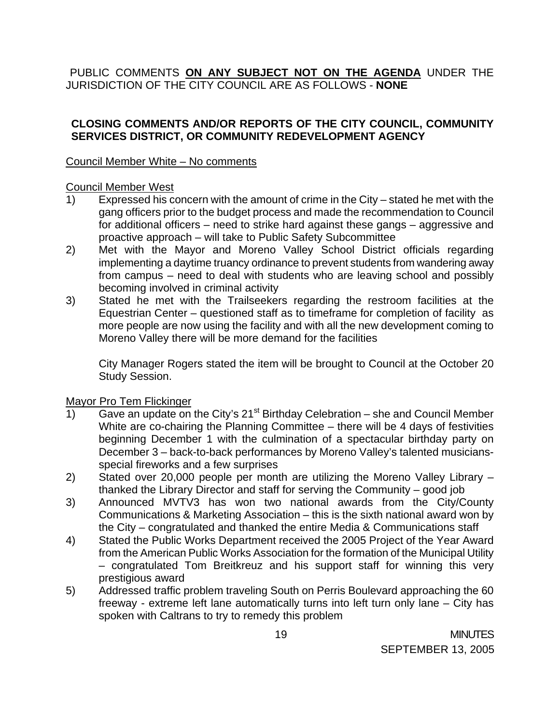PUBLIC COMMENTS **ON ANY SUBJECT NOT ON THE AGENDA** UNDER THE JURISDICTION OF THE CITY COUNCIL ARE AS FOLLOWS - **NONE**

# **CLOSING COMMENTS AND/OR REPORTS OF THE CITY COUNCIL, COMMUNITY SERVICES DISTRICT, OR COMMUNITY REDEVELOPMENT AGENCY**

Council Member White – No comments

## Council Member West

- 1) Expressed his concern with the amount of crime in the City stated he met with the gang officers prior to the budget process and made the recommendation to Council for additional officers – need to strike hard against these gangs – aggressive and proactive approach – will take to Public Safety Subcommittee
- 2) Met with the Mayor and Moreno Valley School District officials regarding implementing a daytime truancy ordinance to prevent students from wandering away from campus – need to deal with students who are leaving school and possibly becoming involved in criminal activity
- 3) Stated he met with the Trailseekers regarding the restroom facilities at the Equestrian Center – questioned staff as to timeframe for completion of facility as more people are now using the facility and with all the new development coming to Moreno Valley there will be more demand for the facilities

 City Manager Rogers stated the item will be brought to Council at the October 20 Study Session.

# Mayor Pro Tem Flickinger

- 1) Gave an update on the City's  $21^{st}$  Birthday Celebration she and Council Member White are co-chairing the Planning Committee – there will be 4 days of festivities beginning December 1 with the culmination of a spectacular birthday party on December 3 – back-to-back performances by Moreno Valley's talented musiciansspecial fireworks and a few surprises
- 2) Stated over 20,000 people per month are utilizing the Moreno Valley Library thanked the Library Director and staff for serving the Community – good job
- 3) Announced MVTV3 has won two national awards from the City/County Communications & Marketing Association – this is the sixth national award won by the City – congratulated and thanked the entire Media & Communications staff
- 4) Stated the Public Works Department received the 2005 Project of the Year Award from the American Public Works Association for the formation of the Municipal Utility – congratulated Tom Breitkreuz and his support staff for winning this very prestigious award
- 5) Addressed traffic problem traveling South on Perris Boulevard approaching the 60 freeway - extreme left lane automatically turns into left turn only lane – City has spoken with Caltrans to try to remedy this problem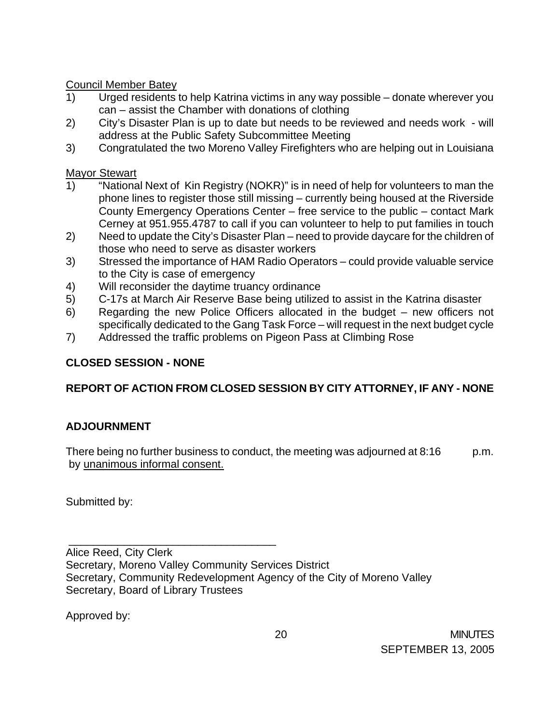Council Member Batey

- 1) Urged residents to help Katrina victims in any way possible donate wherever you can – assist the Chamber with donations of clothing
- 2) City's Disaster Plan is up to date but needs to be reviewed and needs work will address at the Public Safety Subcommittee Meeting
- 3) Congratulated the two Moreno Valley Firefighters who are helping out in Louisiana

Mayor Stewart

- 1) "National Next of Kin Registry (NOKR)" is in need of help for volunteers to man the phone lines to register those still missing – currently being housed at the Riverside County Emergency Operations Center – free service to the public – contact Mark Cerney at 951.955.4787 to call if you can volunteer to help to put families in touch
- 2) Need to update the City's Disaster Plan need to provide daycare for the children of those who need to serve as disaster workers
- 3) Stressed the importance of HAM Radio Operators could provide valuable service to the City is case of emergency
- 4) Will reconsider the daytime truancy ordinance
- 5) C-17s at March Air Reserve Base being utilized to assist in the Katrina disaster
- 6) Regarding the new Police Officers allocated in the budget new officers not specifically dedicated to the Gang Task Force – will request in the next budget cycle
- 7) Addressed the traffic problems on Pigeon Pass at Climbing Rose

# **CLOSED SESSION - NONE**

# **REPORT OF ACTION FROM CLOSED SESSION BY CITY ATTORNEY, IF ANY - NONE**

# **ADJOURNMENT**

There being no further business to conduct, the meeting was adjourned at 8:16 p.m. by unanimous informal consent.

Submitted by:

 \_\_\_\_\_\_\_\_\_\_\_\_\_\_\_\_\_\_\_\_\_\_\_\_\_\_\_\_\_\_\_\_\_\_ Alice Reed, City Clerk Secretary, Moreno Valley Community Services District Secretary, Community Redevelopment Agency of the City of Moreno Valley Secretary, Board of Library Trustees

Approved by: